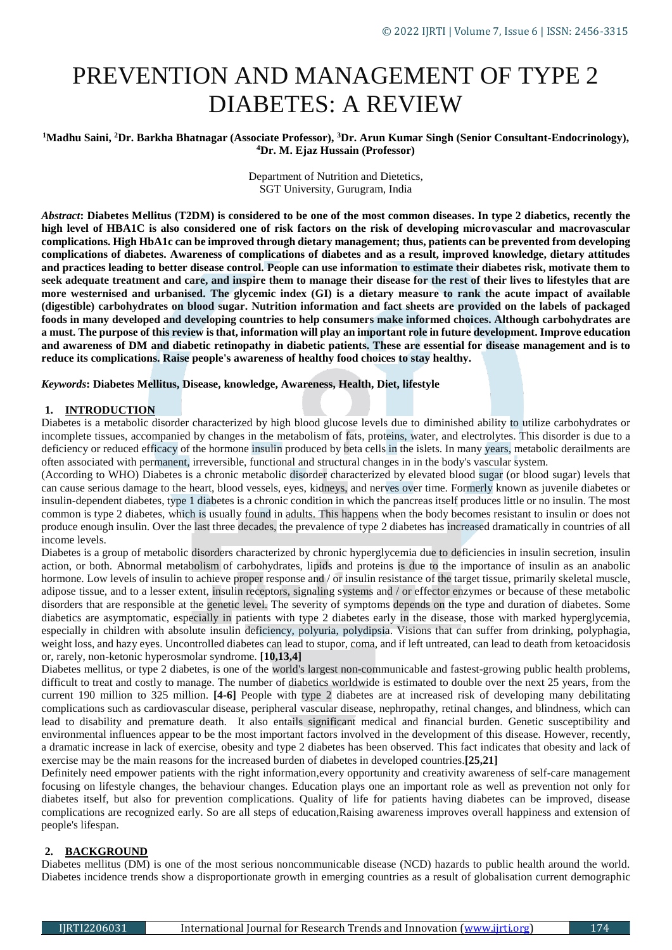# PREVENTION AND MANAGEMENT OF TYPE 2 DIABETES: A REVIEW

# **<sup>1</sup>Madhu Saini, <sup>2</sup>Dr. Barkha Bhatnagar (Associate Professor), <sup>3</sup>Dr. Arun Kumar Singh (Senior Consultant-Endocrinology), <sup>4</sup>Dr. M. Ejaz Hussain (Professor)**

Department of Nutrition and Dietetics, SGT University, Gurugram, India

*Abstract***: Diabetes Mellitus (T2DM) is considered to be one of the most common diseases. In type 2 diabetics, recently the high level of HBA1C is also considered one of risk factors on the risk of developing microvascular and macrovascular complications. High HbA1c can be improved through dietary management; thus, patients can be prevented from developing complications of diabetes. Awareness of complications of diabetes and as a result, improved knowledge, dietary attitudes and practices leading to better disease control. People can use information to estimate their diabetes risk, motivate them to seek adequate treatment and care, and inspire them to manage their disease for the rest of their lives to lifestyles that are more westernised and urbanised. The glycemic index (GI) is a dietary measure to rank the acute impact of available (digestible) carbohydrates on blood sugar. Nutrition information and fact sheets are provided on the labels of packaged foods in many developed and developing countries to help consumers make informed choices. Although carbohydrates are a must. The purpose of this review isthat, information will play an important role in future development. Improve education and awareness of DM and diabetic retinopathy in diabetic patients. These are essential for disease management and is to reduce its complications. Raise people's awareness of healthy food choices to stay healthy.**

# *Keywords***: Diabetes Mellitus, Disease, knowledge, Awareness, Health, Diet, lifestyle**

# **1. INTRODUCTION**

Diabetes is a metabolic disorder characterized by high blood glucose levels due to diminished ability to utilize carbohydrates or incomplete tissues, accompanied by changes in the metabolism of fats, proteins, water, and electrolytes. This disorder is due to a deficiency or reduced efficacy of the hormone insulin produced by beta cells in the islets. In many years, metabolic derailments are often associated with permanent, irreversible, functional and structural changes in in the body's vascular system.

(According to WHO) Diabetes is a chronic metabolic disorder characterized by elevated blood sugar (or blood sugar) levels that can cause serious damage to the heart, blood vessels, eyes, kidneys, and nerves over time. Formerly known as juvenile diabetes or insulin-dependent diabetes, type 1 diabetes is a chronic condition in which the pancreas itself produces little or no insulin. The most common is type 2 diabetes, which is usually found in adults. This happens when the body becomes resistant to insulin or does not produce enough insulin. Over the last three decades, the prevalence of type 2 diabetes has increased dramatically in countries of all income levels.

Diabetes is a group of metabolic disorders characterized by chronic hyperglycemia due to deficiencies in insulin secretion, insulin action, or both. Abnormal metabolism of carbohydrates, lipids and proteins is due to the importance of insulin as an anabolic hormone. Low levels of insulin to achieve proper response and / or insulin resistance of the target tissue, primarily skeletal muscle, adipose tissue, and to a lesser extent, insulin receptors, signaling systems and / or effector enzymes or because of these metabolic disorders that are responsible at the genetic level. The severity of symptoms depends on the type and duration of diabetes. Some diabetics are asymptomatic, especially in patients with type 2 diabetes early in the disease, those with marked hyperglycemia, especially in children with absolute insulin deficiency, polyuria, polydipsia. Visions that can suffer from drinking, polyphagia, weight loss, and hazy eyes. Uncontrolled diabetes can lead to stupor, coma, and if left untreated, can lead to death from ketoacidosis or, rarely, non-ketonic hyperosmolar syndrome. **[10,13,4]**

Diabetes mellitus, or type 2 diabetes, is one of the world's largest non-communicable and fastest-growing public health problems, difficult to treat and costly to manage. The number of diabetics worldwide is estimated to double over the next 25 years, from the current 190 million to 325 million. **[4-6]** People with type 2 diabetes are at increased risk of developing many debilitating complications such as cardiovascular disease, peripheral vascular disease, nephropathy, retinal changes, and blindness, which can lead to disability and premature death. It also entails significant medical and financial burden. Genetic susceptibility and environmental influences appear to be the most important factors involved in the development of this disease. However, recently, a dramatic increase in lack of exercise, obesity and type 2 diabetes has been observed. This fact indicates that obesity and lack of exercise may be the main reasons for the increased burden of diabetes in developed countries.**[25,21]**

Definitely need empower patients with the right information,every opportunity and creativity awareness of self-care management focusing on lifestyle changes, the behaviour changes. Education plays one an important role as well as prevention not only for diabetes itself, but also for prevention complications. Quality of life for patients having diabetes can be improved, disease complications are recognized early. So are all steps of education,Raising awareness improves overall happiness and extension of people's lifespan.

# **2. BACKGROUND**

Diabetes mellitus (DM) is one of the most serious noncommunicable disease (NCD) hazards to public health around the world. Diabetes incidence trends show a disproportionate growth in emerging countries as a result of globalisation current demographic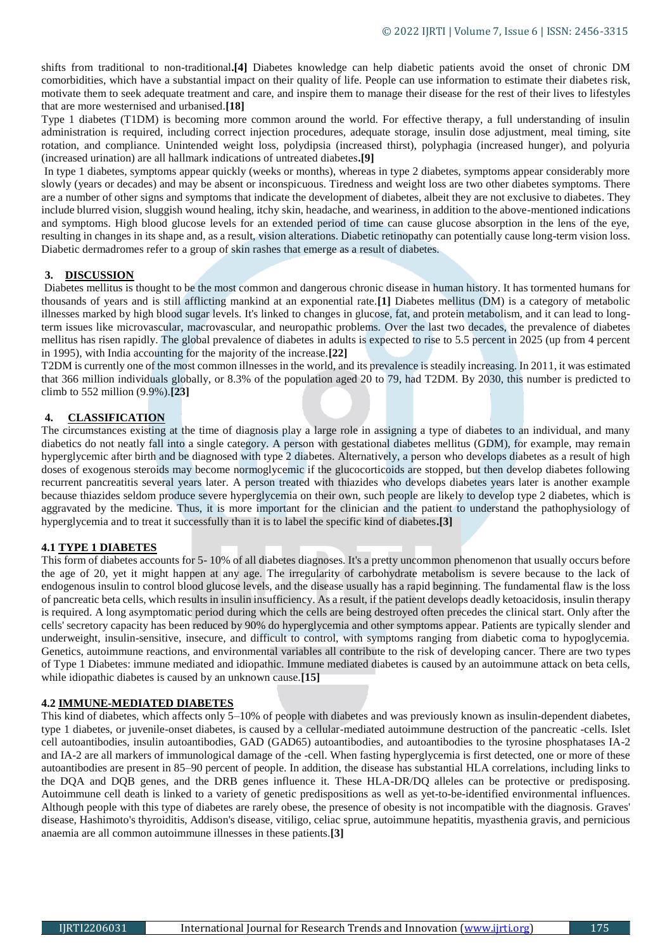shifts from traditional to non-traditional**.[4]** Diabetes knowledge can help diabetic patients avoid the onset of chronic DM comorbidities, which have a substantial impact on their quality of life. People can use information to estimate their diabetes risk, motivate them to seek adequate treatment and care, and inspire them to manage their disease for the rest of their lives to lifestyles that are more westernised and urbanised.**[18]**

Type 1 diabetes (T1DM) is becoming more common around the world. For effective therapy, a full understanding of insulin administration is required, including correct injection procedures, adequate storage, insulin dose adjustment, meal timing, site rotation, and compliance. Unintended weight loss, polydipsia (increased thirst), polyphagia (increased hunger), and polyuria (increased urination) are all hallmark indications of untreated diabetes**.[9]**

In type 1 diabetes, symptoms appear quickly (weeks or months), whereas in type 2 diabetes, symptoms appear considerably more slowly (years or decades) and may be absent or inconspicuous. Tiredness and weight loss are two other diabetes symptoms. There are a number of other signs and symptoms that indicate the development of diabetes, albeit they are not exclusive to diabetes. They include blurred vision, sluggish wound healing, itchy skin, headache, and weariness, in addition to the above-mentioned indications and symptoms. High blood glucose levels for an extended period of time can cause glucose absorption in the lens of the eye, resulting in changes in its shape and, as a result, vision alterations. Diabetic retinopathy can potentially cause long-term vision loss. Diabetic dermadromes refer to a group of skin rashes that emerge as a result of diabetes.

# **3. DISCUSSION**

Diabetes mellitus is thought to be the most common and dangerous chronic disease in human history. It has tormented humans for thousands of years and is still afflicting mankind at an exponential rate.**[1]** Diabetes mellitus (DM) is a category of metabolic illnesses marked by high blood sugar levels. It's linked to changes in glucose, fat, and protein metabolism, and it can lead to longterm issues like microvascular, macrovascular, and neuropathic problems. Over the last two decades, the prevalence of diabetes mellitus has risen rapidly. The global prevalence of diabetes in adults is expected to rise to 5.5 percent in 2025 (up from 4 percent in 1995), with India accounting for the majority of the increase.**[22]**

T2DM is currently one of the most common illnesses in the world, and its prevalence is steadily increasing. In 2011, it was estimated that 366 million individuals globally, or 8.3% of the population aged 20 to 79, had T2DM. By 2030, this number is predicted to climb to 552 million (9.9%).**[23]**

# **4. CLASSIFICATION**

The circumstances existing at the time of diagnosis play a large role in assigning a type of diabetes to an individual, and many diabetics do not neatly fall into a single category. A person with gestational diabetes mellitus (GDM), for example, may remain hyperglycemic after birth and be diagnosed with type 2 diabetes. Alternatively, a person who develops diabetes as a result of high doses of exogenous steroids may become normoglycemic if the glucocorticoids are stopped, but then develop diabetes following recurrent pancreatitis several years later. A person treated with thiazides who develops diabetes years later is another example because thiazides seldom produce severe hyperglycemia on their own, such people are likely to develop type 2 diabetes, which is aggravated by the medicine. Thus, it is more important for the clinician and the patient to understand the pathophysiology of hyperglycemia and to treat it successfully than it is to label the specific kind of diabetes**.[3]**

#### **4.1 TYPE 1 DIABETES**

This form of diabetes accounts for 5- 10% of all diabetes diagnoses. It's a pretty uncommon phenomenon that usually occurs before the age of 20, yet it might happen at any age. The irregularity of carbohydrate metabolism is severe because to the lack of endogenous insulin to control blood glucose levels, and the disease usually has a rapid beginning. The fundamental flaw is the loss of pancreatic beta cells, which results in insulin insufficiency. As a result, if the patient develops deadly ketoacidosis, insulin therapy is required. A long asymptomatic period during which the cells are being destroyed often precedes the clinical start. Only after the cells' secretory capacity has been reduced by 90% do hyperglycemia and other symptoms appear. Patients are typically slender and underweight, insulin-sensitive, insecure, and difficult to control, with symptoms ranging from diabetic coma to hypoglycemia. Genetics, autoimmune reactions, and environmental variables all contribute to the risk of developing cancer. There are two types of Type 1 Diabetes: immune mediated and idiopathic. Immune mediated diabetes is caused by an autoimmune attack on beta cells, while idiopathic diabetes is caused by an unknown cause.**[15]**

#### **4.2 IMMUNE-MEDIATED DIABETES**

This kind of diabetes, which affects only 5–10% of people with diabetes and was previously known as insulin-dependent diabetes, type 1 diabetes, or juvenile-onset diabetes, is caused by a cellular-mediated autoimmune destruction of the pancreatic -cells. Islet cell autoantibodies, insulin autoantibodies, GAD (GAD65) autoantibodies, and autoantibodies to the tyrosine phosphatases IA-2 and IA-2 are all markers of immunological damage of the -cell. When fasting hyperglycemia is first detected, one or more of these autoantibodies are present in 85–90 percent of people. In addition, the disease has substantial HLA correlations, including links to the DQA and DQB genes, and the DRB genes influence it. These HLA-DR/DQ alleles can be protective or predisposing. Autoimmune cell death is linked to a variety of genetic predispositions as well as yet-to-be-identified environmental influences. Although people with this type of diabetes are rarely obese, the presence of obesity is not incompatible with the diagnosis. Graves' disease, Hashimoto's thyroiditis, Addison's disease, vitiligo, celiac sprue, autoimmune hepatitis, myasthenia gravis, and pernicious anaemia are all common autoimmune illnesses in these patients.**[3]**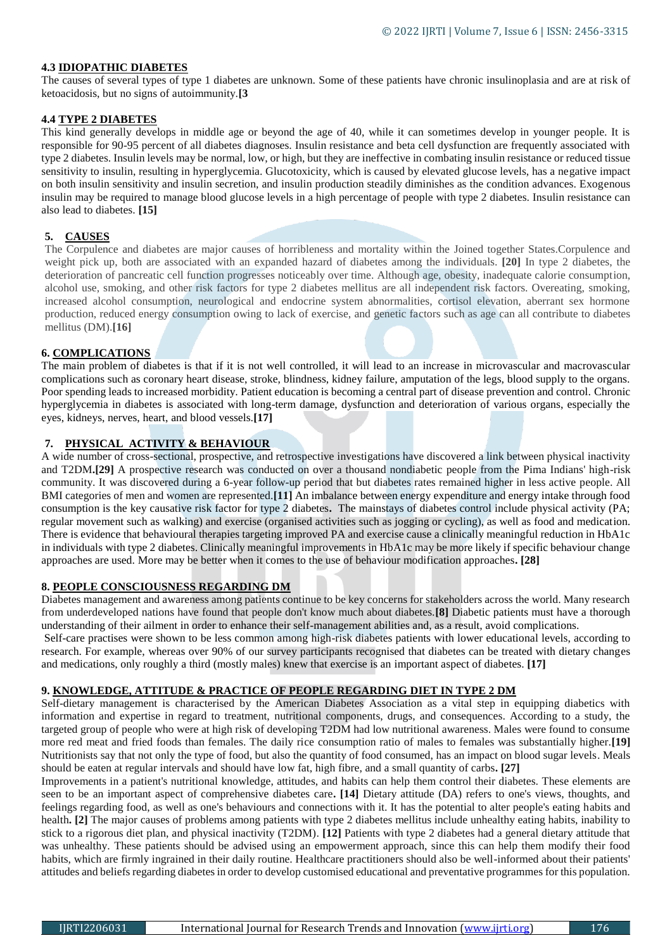# **4.3 IDIOPATHIC DIABETES**

The causes of several types of type 1 diabetes are unknown. Some of these patients have chronic insulinoplasia and are at risk of ketoacidosis, but no signs of autoimmunity.**[3**

# **4.4 TYPE 2 DIABETES**

This kind generally develops in middle age or beyond the age of 40, while it can sometimes develop in younger people. It is responsible for 90-95 percent of all diabetes diagnoses. Insulin resistance and beta cell dysfunction are frequently associated with type 2 diabetes. Insulin levels may be normal, low, or high, but they are ineffective in combating insulin resistance or reduced tissue sensitivity to insulin, resulting in hyperglycemia. Glucotoxicity, which is caused by elevated glucose levels, has a negative impact on both insulin sensitivity and insulin secretion, and insulin production steadily diminishes as the condition advances. Exogenous insulin may be required to manage blood glucose levels in a high percentage of people with type 2 diabetes. Insulin resistance can also lead to diabetes. **[15]**

# **5. CAUSES**

The Corpulence and diabetes are major causes of horribleness and mortality within the Joined together States.Corpulence and weight pick up, both are associated with an expanded hazard of diabetes among the individuals. **[20]** In type 2 diabetes, the deterioration of pancreatic cell function progresses noticeably over time. Although age, obesity, inadequate calorie consumption, alcohol use, smoking, and other risk factors for type 2 diabetes mellitus are all independent risk factors. Overeating, smoking, increased alcohol consumption, neurological and endocrine system abnormalities, cortisol elevation, aberrant sex hormone production, reduced energy consumption owing to lack of exercise, and genetic factors such as age can all contribute to diabetes mellitus (DM).**[16]**

# **6. COMPLICATIONS**

The main problem of diabetes is that if it is not well controlled, it will lead to an increase in microvascular and macrovascular complications such as coronary heart disease, stroke, blindness, kidney failure, amputation of the legs, blood supply to the organs. Poor spending leads to increased morbidity. Patient education is becoming a central part of disease prevention and control. Chronic hyperglycemia in diabetes is associated with long-term damage, dysfunction and deterioration of various organs, especially the eyes, kidneys, nerves, heart, and blood vessels.**[17]**

# **7. PHYSICAL ACTIVITY & BEHAVIOUR**

A wide number of cross-sectional, prospective, and retrospective investigations have discovered a link between physical inactivity and T2DM**.[29]** A prospective research was conducted on over a thousand nondiabetic people from the Pima Indians' high-risk community. It was discovered during a 6-year follow-up period that but diabetes rates remained higher in less active people. All BMI categories of men and women are represented.**[11]** An imbalance between energy expenditure and energy intake through food consumption is the key causative risk factor for type 2 diabetes**.** The mainstays of diabetes control include physical activity (PA; regular movement such as walking) and exercise (organised activities such as jogging or cycling), as well as food and medication. There is evidence that behavioural therapies targeting improved PA and exercise cause a clinically meaningful reduction in HbA1c in individuals with type 2 diabetes. Clinically meaningful improvements in HbA1c may be more likely if specific behaviour change approaches are used. More may be better when it comes to the use of behaviour modification approaches**. [28]**

#### **8. PEOPLE CONSCIOUSNESS REGARDING DM**

Diabetes management and awareness among patients continue to be key concerns for stakeholders across the world. Many research from underdeveloped nations have found that people don't know much about diabetes.**[8]** Diabetic patients must have a thorough understanding of their ailment in order to enhance their self-management abilities and, as a result, avoid complications.

Self-care practises were shown to be less common among high-risk diabetes patients with lower educational levels, according to research. For example, whereas over 90% of our survey participants recognised that diabetes can be treated with dietary changes and medications, only roughly a third (mostly males) knew that exercise is an important aspect of diabetes. **[17]**

#### **9. KNOWLEDGE, ATTITUDE & PRACTICE OF PEOPLE REGARDING DIET IN TYPE 2 DM**

Self-dietary management is characterised by the American Diabetes Association as a vital step in equipping diabetics with information and expertise in regard to treatment, nutritional components, drugs, and consequences. According to a study, the targeted group of people who were at high risk of developing T2DM had low nutritional awareness. Males were found to consume more red meat and fried foods than females. The daily rice consumption ratio of males to females was substantially higher.**[19]** Nutritionists say that not only the type of food, but also the quantity of food consumed, has an impact on blood sugar levels. Meals should be eaten at regular intervals and should have low fat, high fibre, and a small quantity of carbs**. [27]**

Improvements in a patient's nutritional knowledge, attitudes, and habits can help them control their diabetes. These elements are seen to be an important aspect of comprehensive diabetes care**. [14]** Dietary attitude (DA) refers to one's views, thoughts, and feelings regarding food, as well as one's behaviours and connections with it. It has the potential to alter people's eating habits and health**. [2]** The major causes of problems among patients with type 2 diabetes mellitus include unhealthy eating habits, inability to stick to a rigorous diet plan, and physical inactivity (T2DM). **[12]** Patients with type 2 diabetes had a general dietary attitude that was unhealthy. These patients should be advised using an empowerment approach, since this can help them modify their food habits, which are firmly ingrained in their daily routine. Healthcare practitioners should also be well-informed about their patients' attitudes and beliefs regarding diabetes in order to develop customised educational and preventative programmes for this population.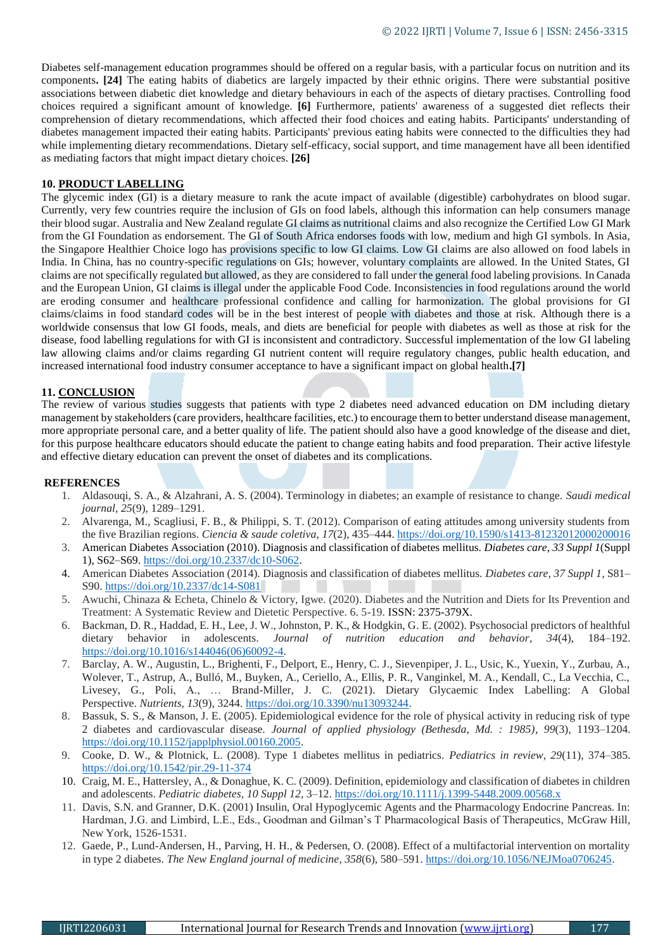Diabetes self-management education programmes should be offered on a regular basis, with a particular focus on nutrition and its components**. [24]** The eating habits of diabetics are largely impacted by their ethnic origins. There were substantial positive associations between diabetic diet knowledge and dietary behaviours in each of the aspects of dietary practises. Controlling food choices required a significant amount of knowledge. **[6]** Furthermore, patients' awareness of a suggested diet reflects their comprehension of dietary recommendations, which affected their food choices and eating habits. Participants' understanding of diabetes management impacted their eating habits. Participants' previous eating habits were connected to the difficulties they had while implementing dietary recommendations. Dietary self-efficacy, social support, and time management have all been identified as mediating factors that might impact dietary choices. **[26]**

# **10. PRODUCT LABELLING**

The glycemic index (GI) is a dietary measure to rank the acute impact of available (digestible) carbohydrates on blood sugar. Currently, very few countries require the inclusion of GIs on food labels, although this information can help consumers manage their blood sugar. Australia and New Zealand regulate GI claims as nutritional claims and also recognize the Certified Low GI Mark from the GI Foundation as endorsement. The GI of South Africa endorses foods with low, medium and high GI symbols. In Asia, the Singapore Healthier Choice logo has provisions specific to low GI claims. Low GI claims are also allowed on food labels in India. In China, has no country-specific regulations on GIs; however, voluntary complaints are allowed. In the United States, GI claims are not specifically regulated but allowed, as they are considered to fall under the general food labeling provisions. In Canada and the European Union, GI claims is illegal under the applicable Food Code. Inconsistencies in food regulations around the world are eroding consumer and healthcare professional confidence and calling for harmonization. The global provisions for GI claims/claims in food standard codes will be in the best interest of people with diabetes and those at risk. Although there is a worldwide consensus that low GI foods, meals, and diets are beneficial for people with diabetes as well as those at risk for the disease, food labelling regulations for with GI is inconsistent and contradictory. Successful implementation of the low GI labeling law allowing claims and/or claims regarding GI nutrient content will require regulatory changes, public health education, and increased international food industry consumer acceptance to have a significant impact on global health**.[7]**

#### **11. CONCLUSION**

The review of various studies suggests that patients with type 2 diabetes need advanced education on DM including dietary management by stakeholders (care providers, healthcare facilities, etc.) to encourage them to better understand disease management, more appropriate personal care, and a better quality of life. The patient should also have a good knowledge of the disease and diet, for this purpose healthcare educators should educate the patient to change eating habits and food preparation. Their active lifestyle and effective dietary education can prevent the onset of diabetes and its complications.

#### **REFERENCES**

- 1. Aldasouqi, S. A., & Alzahrani, A. S. (2004). Terminology in diabetes; an example of resistance to change. *Saudi medical journal*, *25*(9), 1289–1291.
- 2. Alvarenga, M., Scagliusi, F. B., & Philippi, S. T. (2012). Comparison of eating attitudes among university students from the five Brazilian regions. *Ciencia & saude coletiva*, *17*(2), 435–444.<https://doi.org/10.1590/s1413-81232012000200016>
- 3. American Diabetes Association (2010). Diagnosis and classification of diabetes mellitus. *Diabetes care*, *33 Suppl 1*(Suppl 1), S62–S69. [https://doi.org/10.2337/dc10-S062.](https://doi.org/10.2337/dc10-S062)
- 4. American Diabetes Association (2014). Diagnosis and classification of diabetes mellitus. *Diabetes care*, *37 Suppl 1*, S81– S90.<https://doi.org/10.2337/dc14-S081>
- 5. Awuchi, Chinaza & Echeta, Chinelo & Victory, Igwe. (2020). Diabetes and the Nutrition and Diets for Its Prevention and Treatment: A Systematic Review and Dietetic Perspective. 6. 5-19. ISSN: 2375-379X.
- 6. Backman, D. R., Haddad, E. H., Lee, J. W., Johnston, P. K., & Hodgkin, G. E. (2002). Psychosocial predictors of healthful dietary behavior in adolescents. *Journal of nutrition education and behavior*, *34*(4), 184–192. [https://doi.org/10.1016/s144046\(06\)60092-4.](https://doi.org/10.1016/s144046(06)60092-4)
- 7. Barclay, A. W., Augustin, L., Brighenti, F., Delport, E., Henry, C. J., Sievenpiper, J. L., Usic, K., Yuexin, Y., Zurbau, A., Wolever, T., Astrup, A., Bulló, M., Buyken, A., Ceriello, A., Ellis, P. R., Vanginkel, M. A., Kendall, C., La Vecchia, C., Livesey, G., Poli, A., … Brand-Miller, J. C. (2021). Dietary Glycaemic Index Labelling: A Global Perspective. *Nutrients*, *13*(9), 3244[. https://doi.org/10.3390/nu13093244.](https://doi.org/10.3390/nu13093244)
- 8. Bassuk, S. S., & Manson, J. E. (2005). Epidemiological evidence for the role of physical activity in reducing risk of type 2 diabetes and cardiovascular disease. *Journal of applied physiology (Bethesda, Md. : 1985)*, *99*(3), 1193–1204. [https://doi.org/10.1152/japplphysiol.00160.2005.](https://doi.org/10.1152/japplphysiol.00160.2005)
- 9. Cooke, D. W., & Plotnick, L. (2008). Type 1 diabetes mellitus in pediatrics. *Pediatrics in review*, *29*(11), 374–385. <https://doi.org/10.1542/pir.29-11-374>
- 10. Craig, M. E., Hattersley, A., & Donaghue, K. C. (2009). Definition, epidemiology and classification of diabetes in children and adolescents. *Pediatric diabetes*, *10 Suppl 12*, 3–12[. https://doi.org/10.1111/j.1399-5448.2009.00568.x](https://doi.org/10.1111/j.1399-5448.2009.00568.x)
- 11. Davis, S.N. and Granner, D.K. (2001) Insulin, Oral Hypoglycemic Agents and the Pharmacology Endocrine Pancreas. In: Hardman, J.G. and Limbird, L.E., Eds., Goodman and Gilman's T Pharmacological Basis of Therapeutics, McGraw Hill, New York, 1526-1531.
- 12. Gaede, P., Lund-Andersen, H., Parving, H. H., & Pedersen, O. (2008). Effect of a multifactorial intervention on mortality in type 2 diabetes. *The New England journal of medicine*, *358*(6), 580–591. [https://doi.org/10.1056/NEJMoa0706245.](https://doi.org/10.1056/NEJMoa0706245)